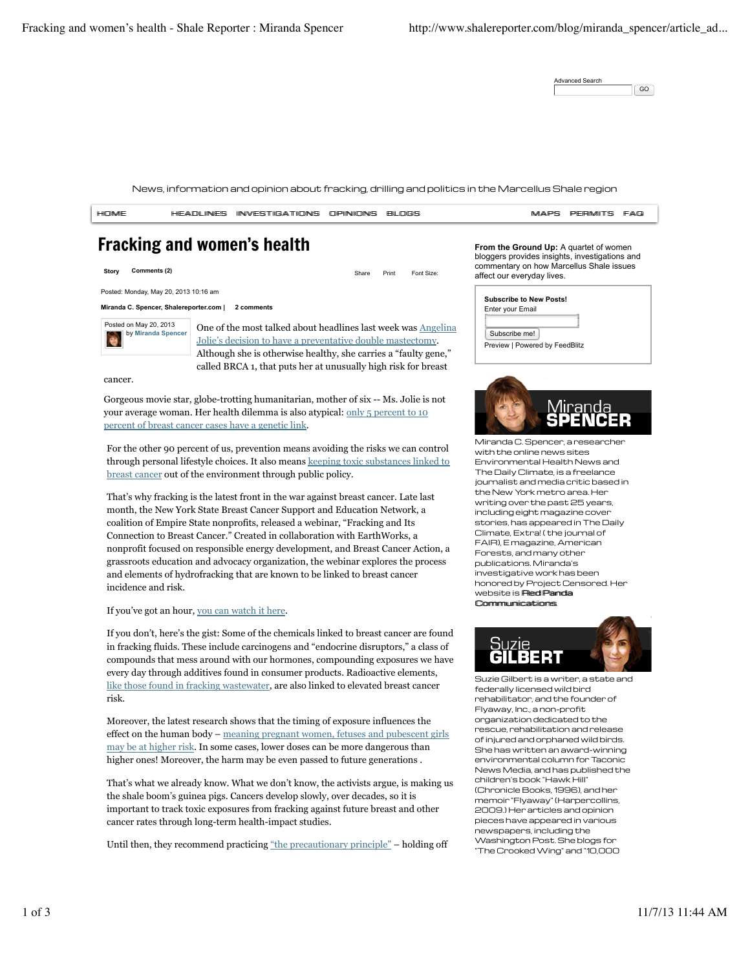Advanced Search GO

News, information and opinion about fracking, drilling and politics in the Marcellus Shale region



cancer rates through long-term health-impact studies.

Until then, they recommend practicing "the precautionary principle" – holding off

pieces have appeared in various newspapers, including the Washington Post. She blogs for "The Crooked Wing" and "10,000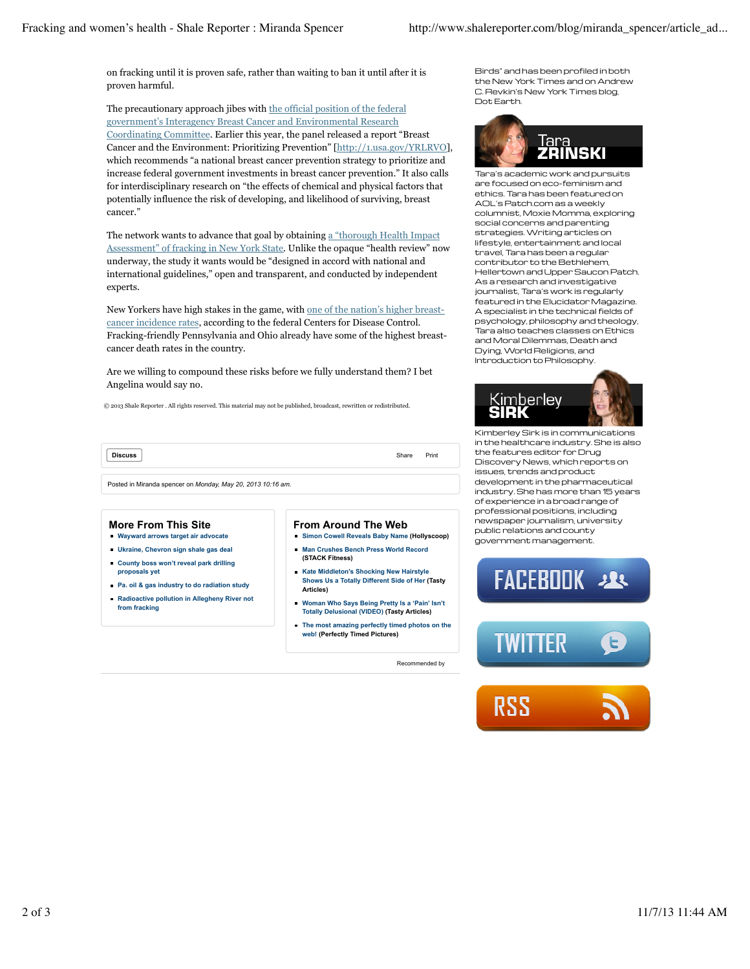on fracking until it is proven safe, rather than waiting to ban it until after it is proven harmful.

The precautionary approach jibes with the official position of the federal government's Interagency Breast Cancer and Environmental Research Coordinating Committee. Earlier this year, the panel released a report "Breast Cancer and the Environment: Prioritizing Prevention" [http://1.usa.gov/YRLRVO], which recommends "a national breast cancer prevention strategy to prioritize and increase federal government investments in breast cancer prevention." It also calls for interdisciplinary research on "the effects of chemical and physical factors that potentially influence the risk of developing, and likelihood of surviving, breast cancer."

The network wants to advance that goal by obtaining a "thorough Health Impact Assessment" of fracking in New York State. Unlike the opaque "health review" now underway, the study it wants would be "designed in accord with national and international guidelines," open and transparent, and conducted by independent experts.

New Yorkers have high stakes in the game, with one of the nation's higher breastcancer incidence rates, according to the federal Centers for Disease Control. Fracking-friendly Pennsylvania and Ohio already have some of the highest breastcancer death rates in the country.

Are we willing to compound these risks before we fully understand them? I bet Angelina would say no.

© 2013 Shale Reporter . All rights reserved. This material may not be published, broadcast, rewritten or redistributed.

**Discuss** Print

Posted in Miranda spencer on *Monday, May 20, 2013 10:16 am.*

## **More From This Site**

- **Wayward arrows target air advocate**
- **Ukraine, Chevron sign shale gas deal**
- **County boss won't reveal park drilling proposals yet**
- **Pa. oil & gas industry to do radiation study**
- **Radioactive pollution in Allegheny River not from fracking**

## **From Around The Web**

- **Simon Cowell Reveals Baby Name (Hollyscoop) Man Crushes Bench Press World Record (STACK Fitness)**
- **Kate Middleton's Shocking New Hairstyle Shows Us a Totally Different Side of Her (Tasty Articles)**
- **Woman Who Says Being Pretty Is a 'Pain' Isn't Totally Delusional (VIDEO) (Tasty Articles)**
- **The most amazing perfectly timed photos on the web! (Perfectly Timed Pictures)**

Recommended by

Birds" and has been profiled in both the New York Times and on Andrew C. Revkin's New York Times blog, Dot Earth.



Tara's academic work and pursuits are focused on eco-feminism and ethics. Tara has been featured on AOL's Patch.com as a weekly columnist, Moxie Momma, exploring social concerns and parenting strategies. Writing articles on lifestyle, entertainment and local travel, Tara has been a regular contributor to the Bethlehem, Hellertown and Upper Saucon Patch. As a research and investigative journalist, Tara's work is regularly featured in the Elucidator Magazine. A specialist in the technical fields of psychology, philosophy and theology, Tara also teaches classes on Ethics and Moral Dilemmas, Death and Dying, World Religions, and Introduction to Philosophy.



Kimberley Sirk is in communications in the healthcare industry. She is also the features editor for Drug Discovery News, which reports on issues, trends and product development in the pharmaceutical industry. She has more than 15 years of experience in a broad range of professional positions, including newspaper journalism, university public relations and county government management.